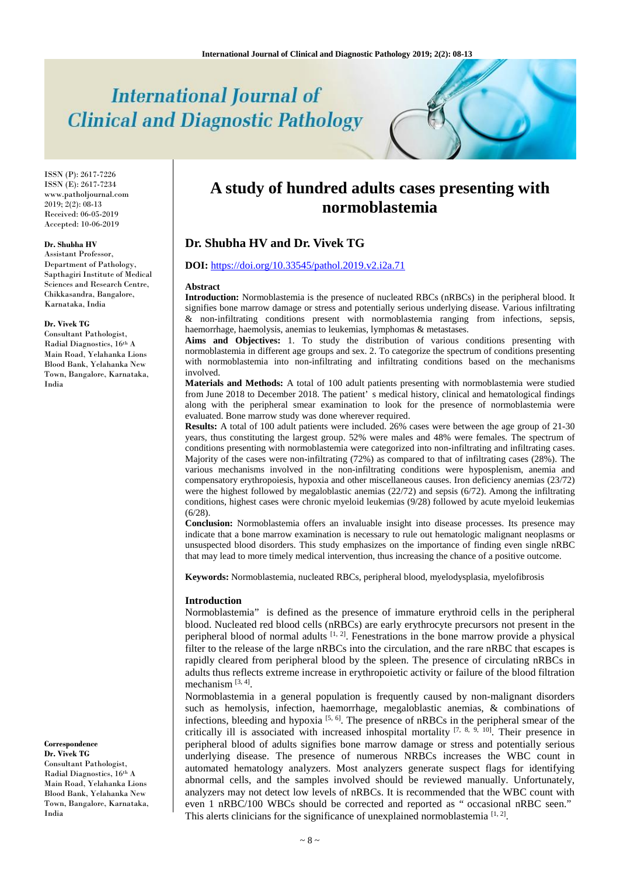# **International Journal of Clinical and Diagnostic Pathology**

ISSN (P): 2617-7226 ISSN (E): 2617-7234 www.patholjournal.com  $2019; 2(2): 08-13$ Received: 06-05-2019 Accepted: 10-06-2019

#### **Dr. Shubha HV**

Assistant Professor, Department of Pathology, Sapthagiri Institute of Medical Sciences and Research Centre, Chikkasandra, Bangalore, Karnataka, India

#### **Dr. Vivek TG**

Consultant Pathologist, Radial Diagnostics, 16th A Main Road, Yelahanka Lions Blood Bank, Yelahanka New Town, Bangalore, Karnataka, India

**Correspondence Dr. Vivek TG**

Consultant Pathologist, Radial Diagnostics, 16th A Main Road, Yelahanka Lions Blood Bank, Yelahanka New Town, Bangalore, Karnataka, India

# **A study of hundred adults cases presenting with normoblastemia**

# **Dr. Shubha HV and Dr. Vivek TG**

#### **DOI:** <https://doi.org/10.33545/pathol.2019.v2.i2a.71>

#### **Abstract**

**Introduction:** Normoblastemia is the presence of nucleated RBCs (nRBCs) in the peripheral blood. It signifies bone marrow damage or stress and potentially serious underlying disease. Various infiltrating & non-infiltrating conditions present with normoblastemia ranging from infections, sepsis, haemorrhage, haemolysis, anemias to leukemias, lymphomas & metastases.

**Aims and Objectives:** 1. To study the distribution of various conditions presenting with normoblastemia in different age groups and sex. 2. To categorize the spectrum of conditions presenting with normoblastemia into non-infiltrating and infiltrating conditions based on the mechanisms involved.

**Materials and Methods:** A total of 100 adult patients presenting with normoblastemia were studied from June 2018 to December 2018. The patient' s medical history, clinical and hematological findings along with the peripheral smear examination to look for the presence of normoblastemia were evaluated. Bone marrow study was done wherever required.

**Results:** A total of 100 adult patients were included. 26% cases were between the age group of 21-30 years, thus constituting the largest group. 52% were males and 48% were females. The spectrum of conditions presenting with normoblastemia were categorized into non-infiltrating and infiltrating cases. Majority of the cases were non-infiltrating (72%) as compared to that of infiltrating cases (28%). The various mechanisms involved in the non-infiltrating conditions were hyposplenism, anemia and compensatory erythropoiesis, hypoxia and other miscellaneous causes. Iron deficiency anemias (23/72) were the highest followed by megaloblastic anemias (22/72) and sepsis (6/72). Among the infiltrating conditions, highest cases were chronic myeloid leukemias (9/28) followed by acute myeloid leukemias (6/28).

**Conclusion:** Normoblastemia offers an invaluable insight into disease processes. Its presence may indicate that a bone marrow examination is necessary to rule out hematologic malignant neoplasms or unsuspected blood disorders. This study emphasizes on the importance of finding even single nRBC that may lead to more timely medical intervention, thus increasing the chance of a positive outcome.

**Keywords:** Normoblastemia, nucleated RBCs, peripheral blood, myelodysplasia, myelofibrosis

#### **Introduction**

Normoblastemia" is defined as the presence of immature erythroid cells in the peripheral blood. Nucleated red blood cells (nRBCs) are early erythrocyte precursors not present in the peripheral blood of normal adults  $[1, 2]$ . Fenestrations in the bone marrow provide a physical filter to the release of the large nRBCs into the circulation, and the rare nRBC that escapes is rapidly cleared from peripheral blood by the spleen. The presence of circulating nRBCs in adults thus reflects extreme increase in erythropoietic activity or failure of the blood filtration mechanism [3, 4].

Normoblastemia in a general population is frequently caused by non-malignant disorders such as hemolysis, infection, haemorrhage, megaloblastic anemias, & combinations of infections, bleeding and hypoxia  $[5, 6]$ . The presence of nRBCs in the peripheral smear of the critically ill is associated with increased inhospital mortality  $[7, 8, 9, 10]$ . Their presence in peripheral blood of adults signifies bone marrow damage or stress and potentially serious underlying disease. The presence of numerous NRBCs increases the WBC count in automated hematology analyzers. Most analyzers generate suspect flags for identifying abnormal cells, and the samples involved should be reviewed manually. Unfortunately, analyzers may not detect low levels of nRBCs. It is recommended that the WBC count with even 1 nRBC/100 WBCs should be corrected and reported as " occasional nRBC seen." This alerts clinicians for the significance of unexplained normoblastemia  $[1, 2]$ .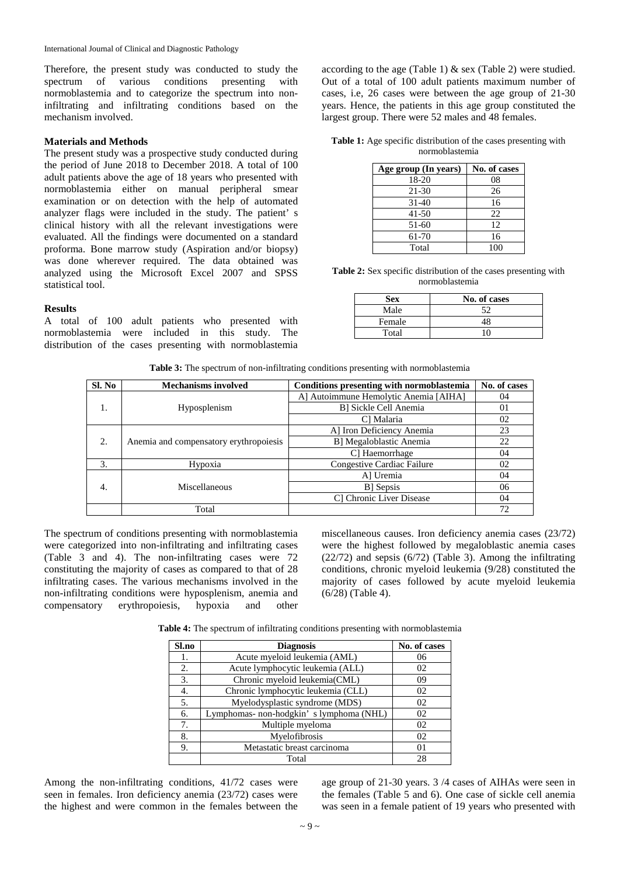International Journal of Clinical and Diagnostic Pathology

Therefore, the present study was conducted to study the spectrum of various conditions presenting with normoblastemia and to categorize the spectrum into noninfiltrating and infiltrating conditions based on the mechanism involved.

### **Materials and Methods**

The present study was a prospective study conducted during the period of June 2018 to December 2018. A total of 100 adult patients above the age of 18 years who presented with normoblastemia either on manual peripheral smear examination or on detection with the help of automated analyzer flags were included in the study. The patient' s clinical history with all the relevant investigations were evaluated. All the findings were documented on a standard proforma. Bone marrow study (Aspiration and/or biopsy) was done wherever required. The data obtained was analyzed using the Microsoft Excel 2007 and SPSS statistical tool.

#### **Results**

A total of 100 adult patients who presented with normoblastemia were included in this study. The distribution of the cases presenting with normoblastemia

according to the age (Table 1)  $&$  sex (Table 2) were studied. Out of a total of 100 adult patients maximum number of cases, i.e, 26 cases were between the age group of 21-30 years. Hence, the patients in this age group constituted the largest group. There were 52 males and 48 females.

**Table 1:** Age specific distribution of the cases presenting with normoblastemia

| Age group (In years) | No. of cases |
|----------------------|--------------|
| 18-20                | 08           |
| 21-30                | 26           |
| $31 - 40$            | 16           |
| $41 - 50$            | 22           |
| 51-60                | 12           |
| 61-70                | 16           |
| Total                | 100          |

**Table 2:** Sex specific distribution of the cases presenting with normoblastemia

| <b>Sex</b> | No. of cases |
|------------|--------------|
| Male       | 52           |
| Female     | 48           |
| Total      | ۱n           |

**Table 3:** The spectrum of non-infiltrating conditions presenting with normoblastemia

| Sl. No | <b>Mechanisms involved</b>             | Conditions presenting with normoblastemia | No. of cases |
|--------|----------------------------------------|-------------------------------------------|--------------|
|        |                                        | A] Autoimmune Hemolytic Anemia [AIHA]     | 04           |
| 1.     | Hyposplenism                           | B] Sickle Cell Anemia                     | 01           |
|        |                                        | C] Malaria                                | 02           |
|        |                                        | Al Iron Deficiency Anemia                 | 23           |
| 2.     | Anemia and compensatory erythropoiesis | B] Megaloblastic Anemia                   | 22           |
|        |                                        | C] Haemorrhage                            | 04           |
| 3.     | Hypoxia                                | Congestive Cardiac Failure                | 02           |
|        |                                        | Al Uremia                                 | 04           |
| 4.     | Miscellaneous                          | B Sepsis                                  | 06           |
|        |                                        | C] Chronic Liver Disease                  | 04           |
|        | Total                                  |                                           | 72           |

The spectrum of conditions presenting with normoblastemia were categorized into non-infiltrating and infiltrating cases (Table 3 and 4). The non-infiltrating cases were 72 constituting the majority of cases as compared to that of 28 infiltrating cases. The various mechanisms involved in the non-infiltrating conditions were hyposplenism, anemia and compensatory erythropoiesis, hypoxia and other miscellaneous causes. Iron deficiency anemia cases (23/72) were the highest followed by megaloblastic anemia cases (22/72) and sepsis (6/72) (Table 3). Among the infiltrating conditions, chronic myeloid leukemia (9/28) constituted the majority of cases followed by acute myeloid leukemia (6/28) (Table 4).

**Table 4:** The spectrum of infiltrating conditions presenting with normoblastemia

| Sl.no | <b>Diagnosis</b>                        | No. of cases |
|-------|-----------------------------------------|--------------|
| 1.    | Acute myeloid leukemia (AML)            | 06           |
| 2.    | Acute lymphocytic leukemia (ALL)        | 02           |
| 3.    | Chronic myeloid leukemia(CML)           | 09           |
| 4.    | Chronic lymphocytic leukemia (CLL)      | 02           |
| 5.    | Myelodysplastic syndrome (MDS)          | 02           |
| 6.    | Lymphomas- non-hodgkin's lymphoma (NHL) | 02           |
| 7.    | Multiple myeloma                        | 02           |
| 8.    | Myelofibrosis                           | 02           |
| 9.    | Metastatic breast carcinoma             | $^{01}$      |
|       | Total                                   | 28           |

Among the non-infiltrating conditions, 41/72 cases were seen in females. Iron deficiency anemia (23/72) cases were the highest and were common in the females between the

age group of 21-30 years. 3 /4 cases of AIHAs were seen in the females (Table 5 and 6). One case of sickle cell anemia was seen in a female patient of 19 years who presented with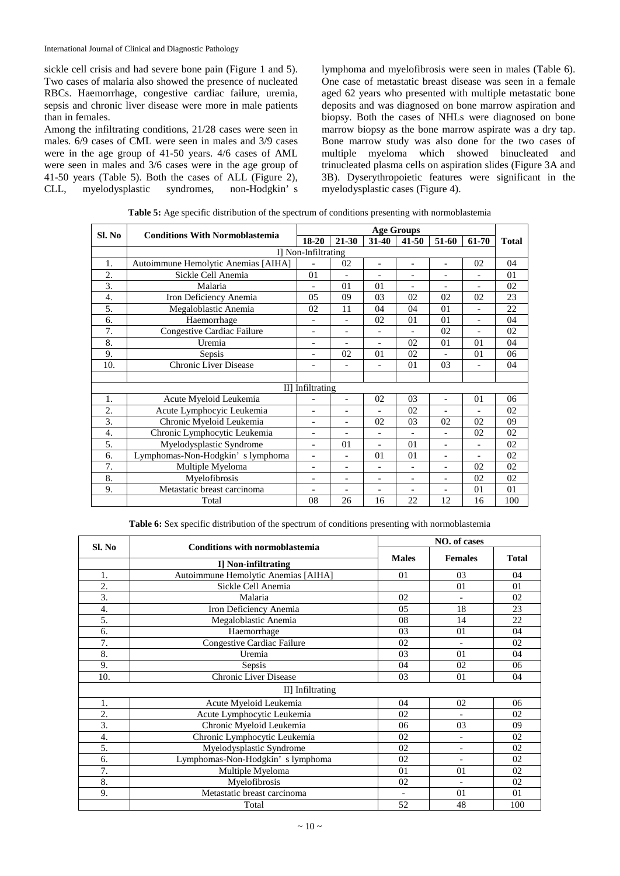International Journal of Clinical and Diagnostic Pathology

sickle cell crisis and had severe bone pain (Figure 1 and 5). Two cases of malaria also showed the presence of nucleated RBCs. Haemorrhage, congestive cardiac failure, uremia, sepsis and chronic liver disease were more in male patients than in females.

Among the infiltrating conditions, 21/28 cases were seen in males. 6/9 cases of CML were seen in males and 3/9 cases were in the age group of 41-50 years. 4/6 cases of AML were seen in males and 3/6 cases were in the age group of 41-50 years (Table 5). Both the cases of ALL (Figure 2), CLL, myelodysplastic syndromes, non-Hodgkin' s lymphoma and myelofibrosis were seen in males (Table 6). One case of metastatic breast disease was seen in a female aged 62 years who presented with multiple metastatic bone deposits and was diagnosed on bone marrow aspiration and biopsy. Both the cases of NHLs were diagnosed on bone marrow biopsy as the bone marrow aspirate was a dry tap. Bone marrow study was also done for the two cases of multiple myeloma which showed binucleated and trinucleated plasma cells on aspiration slides (Figure 3A and 3B). Dyserythropoietic features were significant in the myelodysplastic cases (Figure 4).

|                                                 |                                     | <b>Age Groups</b>        |                          |                          |                          |                          |                          |              |
|-------------------------------------------------|-------------------------------------|--------------------------|--------------------------|--------------------------|--------------------------|--------------------------|--------------------------|--------------|
| Sl. No<br><b>Conditions With Normoblastemia</b> |                                     | 18-20                    | $21 - 30$                | 31-40                    | $41 - 50$                | 51-60                    | 61-70                    | <b>Total</b> |
|                                                 |                                     | I] Non-Infiltrating      |                          |                          |                          |                          |                          |              |
| 1.                                              | Autoimmune Hemolytic Anemias [AIHA] |                          | 02                       | $\overline{a}$           | $\overline{a}$           | $\overline{\phantom{a}}$ | 02                       | 04           |
| 2.                                              | Sickle Cell Anemia                  | 01                       | $\overline{\phantom{a}}$ | $\qquad \qquad -$        | $\qquad \qquad -$        | $\overline{\phantom{a}}$ | $\overline{\phantom{a}}$ | 01           |
| 3.                                              | Malaria                             |                          | 0 <sub>1</sub>           | 01                       | $\qquad \qquad -$        | ٠                        |                          | 02           |
| 4.                                              | Iron Deficiency Anemia              | 05                       | 09                       | 03                       | 02                       | 02                       | 02                       | 23           |
| 5.                                              | Megaloblastic Anemia                | 02                       | 11                       | 04                       | 04                       | 0 <sub>1</sub>           |                          | 22           |
| 6.                                              | Haemorrhage                         |                          |                          | 02                       | 01                       | 01                       |                          | 04           |
| 7.                                              | Congestive Cardiac Failure          | $\qquad \qquad -$        |                          |                          |                          | 02                       |                          | 02           |
| 8.                                              | Uremia                              | $\qquad \qquad -$        |                          | $\overline{a}$           | 02                       | 01                       | 01                       | 04           |
| 9.                                              | Sepsis                              | $\overline{a}$           | 02                       | 01                       | 02                       |                          | 01                       | 06           |
| 10.                                             | <b>Chronic Liver Disease</b>        | $\qquad \qquad -$        |                          |                          | 01                       | 03                       |                          | 04           |
|                                                 |                                     |                          |                          |                          |                          |                          |                          |              |
|                                                 |                                     | II] Infiltrating         |                          |                          |                          |                          |                          |              |
| 1.                                              | Acute Myeloid Leukemia              |                          | $\bar{a}$                | 02                       | 0 <sub>3</sub>           | $\overline{a}$           | 01                       | 06           |
| $\overline{2}$ .                                | Acute Lymphocyic Leukemia           | $\overline{a}$           |                          |                          | 02                       |                          |                          | 02           |
| 3.                                              | Chronic Myeloid Leukemia            | $\overline{\phantom{0}}$ | $\blacksquare$           | 02                       | 03                       | 02                       | 02                       | 09           |
| $\overline{4}$ .                                | Chronic Lymphocytic Leukemia        | $\overline{a}$           |                          |                          | $\overline{a}$           |                          | 02                       | 02           |
| 5.                                              | Myelodysplastic Syndrome            | $\overline{a}$           | 01                       | $\overline{a}$           | 01                       | $\overline{\phantom{a}}$ |                          | 02           |
| 6.                                              | Lymphomas-Non-Hodgkin's lymphoma    | $\overline{\phantom{a}}$ | $\blacksquare$           | 01                       | 01                       | $\overline{\phantom{a}}$ | $\overline{\phantom{a}}$ | 02           |
| 7.                                              | Multiple Myeloma                    | $\overline{\phantom{a}}$ | $\blacksquare$           | $\overline{a}$           | $\overline{\phantom{0}}$ | $\overline{\phantom{a}}$ | 02                       | 02           |
| 8.                                              | Myelofibrosis                       | $\overline{\phantom{0}}$ | $\overline{\phantom{a}}$ | $\overline{\phantom{0}}$ | $\overline{\phantom{0}}$ | $\overline{\phantom{a}}$ | 02                       | 02           |
| 9.                                              | Metastatic breast carcinoma         | $\overline{\phantom{0}}$ | $\overline{\phantom{a}}$ | $\overline{\phantom{0}}$ | $\overline{\phantom{a}}$ | $\overline{\phantom{a}}$ | 01                       | 01           |
|                                                 | Total                               | 08                       | 26                       | 16                       | 22                       | 12                       | 16                       | 100          |

**Table 5:** Age specific distribution of the spectrum of conditions presenting with normoblastemia

**Table 6:** Sex specific distribution of the spectrum of conditions presenting with normoblastemia

| Sl. No           | <b>Conditions with normoblastemia</b> | NO. of cases |                          |              |  |  |
|------------------|---------------------------------------|--------------|--------------------------|--------------|--|--|
|                  |                                       | <b>Males</b> | <b>Females</b>           | <b>Total</b> |  |  |
|                  | I] Non-infiltrating                   |              |                          |              |  |  |
| 1.               | Autoimmune Hemolytic Anemias [AIHA]   | 01           | 03                       | 04           |  |  |
| 2.               | Sickle Cell Anemia                    |              | 01                       | 01           |  |  |
| 3.               | Malaria                               | 02           |                          | 02           |  |  |
| $\overline{4}$ . | Iron Deficiency Anemia                | 05           | 18                       | 23           |  |  |
| 5.               | Megaloblastic Anemia                  | 08           | 14                       | 22           |  |  |
| 6.               | Haemorrhage                           | 03           | 01                       | 04           |  |  |
| 7.               | Congestive Cardiac Failure            | 02           |                          | 02           |  |  |
| 8.               | Uremia                                | 03           | 01                       | 04           |  |  |
| 9.               | Sepsis                                | 04           | 02                       | 06           |  |  |
| 10.              | Chronic Liver Disease                 | 03           | 01                       | 04           |  |  |
|                  | II] Infiltrating                      |              |                          |              |  |  |
| 1.               | Acute Myeloid Leukemia                | 04           | 02                       | 06           |  |  |
| $\overline{2}$ . | Acute Lymphocytic Leukemia            | 02           |                          | 02           |  |  |
| 3.               | Chronic Myeloid Leukemia              | 06           | 03                       | 09           |  |  |
| $\overline{4}$ . | Chronic Lymphocytic Leukemia          | 02           |                          | 02           |  |  |
| 5.               | Myelodysplastic Syndrome              | 02           |                          | 02           |  |  |
| 6.               | Lymphomas-Non-Hodgkin's lymphoma      | 02           |                          | 02           |  |  |
| 7.               | Multiple Myeloma                      | 01           | 01                       | 02           |  |  |
| 8.               | Myelofibrosis                         | 02           | $\overline{\phantom{a}}$ | 02           |  |  |
| 9.               | Metastatic breast carcinoma           | $\bar{a}$    | 01                       | 01           |  |  |
|                  | Total                                 | 52           | 48                       | 100          |  |  |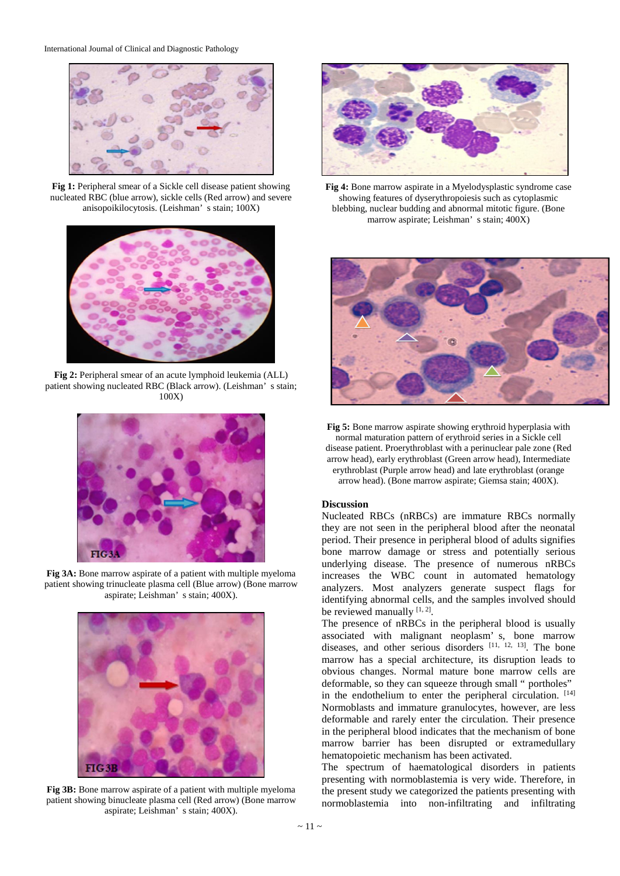

**Fig 1:** Peripheral smear of a Sickle cell disease patient showing nucleated RBC (blue arrow), sickle cells (Red arrow) and severe anisopoikilocytosis. (Leishman' s stain; 100X)



**Fig 2:** Peripheral smear of an acute lymphoid leukemia (ALL) patient showing nucleated RBC (Black arrow). (Leishman' s stain; 100X)



**Fig 3A:** Bone marrow aspirate of a patient with multiple myeloma patient showing trinucleate plasma cell (Blue arrow) (Bone marrow aspirate; Leishman' s stain; 400X).



**Fig 3B:** Bone marrow aspirate of a patient with multiple myeloma patient showing binucleate plasma cell (Red arrow) (Bone marrow aspirate; Leishman' s stain; 400X).



**Fig 4:** Bone marrow aspirate in a Myelodysplastic syndrome case showing features of dyserythropoiesis such as cytoplasmic blebbing, nuclear budding and abnormal mitotic figure. (Bone marrow aspirate; Leishman' s stain; 400X)



**Fig 5:** Bone marrow aspirate showing erythroid hyperplasia with normal maturation pattern of erythroid series in a Sickle cell disease patient. Proerythroblast with a perinuclear pale zone (Red arrow head), early erythroblast (Green arrow head), Intermediate erythroblast (Purple arrow head) and late erythroblast (orange

arrow head). (Bone marrow aspirate; Giemsa stain; 400X).

### **Discussion**

Nucleated RBCs (nRBCs) are immature RBCs normally they are not seen in the peripheral blood after the neonatal period. Their presence in peripheral blood of adults signifies bone marrow damage or stress and potentially serious underlying disease. The presence of numerous nRBCs increases the WBC count in automated hematology analyzers. Most analyzers generate suspect flags for identifying abnormal cells, and the samples involved should be reviewed manually  $[1, 2]$ .

The presence of nRBCs in the peripheral blood is usually associated with malignant neoplasm' s, bone marrow diseases, and other serious disorders [11, 12, 13]. The bone marrow has a special architecture, its disruption leads to obvious changes. Normal mature bone marrow cells are deformable, so they can squeeze through small " portholes" in the endothelium to enter the peripheral circulation. [14] Normoblasts and immature granulocytes, however, are less deformable and rarely enter the circulation. Their presence in the peripheral blood indicates that the mechanism of bone marrow barrier has been disrupted or extramedullary hematopoietic mechanism has been activated.

The spectrum of haematological disorders in patients presenting with normoblastemia is very wide. Therefore, in the present study we categorized the patients presenting with normoblastemia into non-infiltrating and infiltrating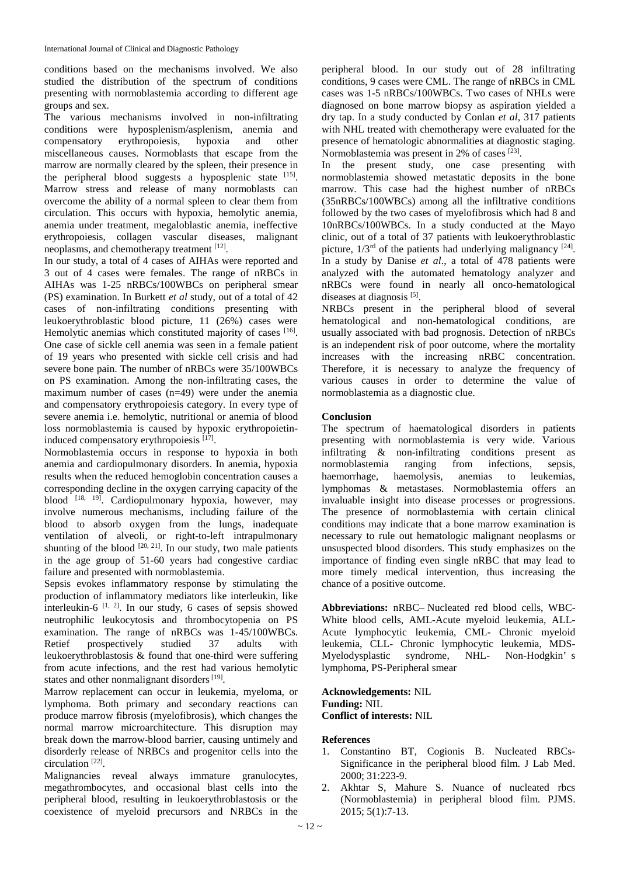conditions based on the mechanisms involved. We also studied the distribution of the spectrum of conditions presenting with normoblastemia according to different age groups and sex.

The various mechanisms involved in non-infiltrating conditions were hyposplenism/asplenism, anemia and compensatory erythropoiesis, hypoxia and other miscellaneous causes. Normoblasts that escape from the marrow are normally cleared by the spleen, their presence in the peripheral blood suggests a hyposplenic state [15]. Marrow stress and release of many normoblasts can overcome the ability of a normal spleen to clear them from circulation. This occurs with hypoxia, hemolytic anemia, anemia under treatment, megaloblastic anemia, ineffective erythropoiesis, collagen vascular diseases, malignant neoplasms, and chemotherapy treatment [12].

In our study, a total of 4 cases of AIHAs were reported and 3 out of 4 cases were females. The range of nRBCs in AIHAs was 1-25 nRBCs/100WBCs on peripheral smear (PS) examination. In Burkett *et al* study, out of a total of 42 cases of non-infiltrating conditions presenting with leukoerythroblastic blood picture, 11 (26%) cases were Hemolytic anemias which constituted majority of cases [16]. One case of sickle cell anemia was seen in a female patient of 19 years who presented with sickle cell crisis and had severe bone pain. The number of nRBCs were 35/100WBCs on PS examination. Among the non-infiltrating cases, the maximum number of cases (n=49) were under the anemia and compensatory erythropoiesis category. In every type of severe anemia i.e. hemolytic, nutritional or anemia of blood loss normoblastemia is caused by hypoxic erythropoietininduced compensatory erythropoiesis [17].

Normoblastemia occurs in response to hypoxia in both anemia and cardiopulmonary disorders. In anemia, hypoxia results when the reduced hemoglobin concentration causes a corresponding decline in the oxygen carrying capacity of the blood [18, 19]. Cardiopulmonary hypoxia, however, may involve numerous mechanisms, including failure of the blood to absorb oxygen from the lungs, inadequate ventilation of alveoli, or right-to-left intrapulmonary shunting of the blood  $[20, 21]$ . In our study, two male patients in the age group of 51-60 years had congestive cardiac failure and presented with normoblastemia.

Sepsis evokes inflammatory response by stimulating the production of inflammatory mediators like interleukin, like interleukin-6<sup> $[1, 2]$ </sup>. In our study, 6 cases of sepsis showed neutrophilic leukocytosis and thrombocytopenia on PS examination. The range of nRBCs was 1-45/100WBCs. Retief prospectively studied 37 adults with leukoerythroblastosis & found that one-third were suffering from acute infections, and the rest had various hemolytic states and other nonmalignant disorders<sup>[19]</sup>.

Marrow replacement can occur in leukemia, myeloma, or lymphoma. Both primary and secondary reactions can produce marrow fibrosis (myelofibrosis), which changes the normal marrow microarchitecture. This disruption may break down the marrow-blood barrier, causing untimely and disorderly release of NRBCs and progenitor cells into the circulation [22] .

Malignancies reveal always immature granulocytes, megathrombocytes, and occasional blast cells into the peripheral blood, resulting in leukoerythroblastosis or the coexistence of myeloid precursors and NRBCs in the peripheral blood. In our study out of 28 infiltrating conditions, 9 cases were CML. The range of nRBCs in CML cases was 1-5 nRBCs/100WBCs. Two cases of NHLs were diagnosed on bone marrow biopsy as aspiration yielded a dry tap. In a study conducted by Conlan *et al*, 317 patients with NHL treated with chemotherapy were evaluated for the presence of hematologic abnormalities at diagnostic staging. Normoblastemia was present in 2% of cases [23].

In the present study, one case presenting with normoblastemia showed metastatic deposits in the bone marrow. This case had the highest number of nRBCs (35nRBCs/100WBCs) among all the infiltrative conditions followed by the two cases of myelofibrosis which had 8 and 10nRBCs/100WBCs. In a study conducted at the Mayo clinic, out of a total of 37 patients with leukoerythroblastic picture,  $1/3^{rd}$  of the patients had underlying malignancy  $[24]$ . In a study by Danise *et al*., a total of 478 patients were analyzed with the automated hematology analyzer and nRBCs were found in nearly all onco-hematological diseases at diagnosis<sup>[5]</sup>.

NRBCs present in the peripheral blood of several hematological and non-hematological conditions, are usually associated with bad prognosis. Detection of nRBCs is an independent risk of poor outcome, where the mortality increases with the increasing nRBC concentration. Therefore, it is necessary to analyze the frequency of various causes in order to determine the value of normoblastemia as a diagnostic clue.

# **Conclusion**

The spectrum of haematological disorders in patients presenting with normoblastemia is very wide. Various infiltrating & non-infiltrating conditions present as normoblastemia ranging from infections, sepsis,<br>haemorrhage. haemolysis, anemias to leukemias, haemolysis, anemias to leukemias, lymphomas & metastases. Normoblastemia offers an invaluable insight into disease processes or progressions. The presence of normoblastemia with certain clinical conditions may indicate that a bone marrow examination is necessary to rule out hematologic malignant neoplasms or unsuspected blood disorders. This study emphasizes on the importance of finding even single nRBC that may lead to more timely medical intervention, thus increasing the chance of a positive outcome.

**Abbreviations:** nRBC– Nucleated red blood cells, WBC-White blood cells, AML-Acute myeloid leukemia, ALL-Acute lymphocytic leukemia, CML- Chronic myeloid leukemia, CLL- Chronic lymphocytic leukemia, MDS-Myelodysplastic syndrome, NHL- Non-Hodgkin' s lymphoma, PS-Peripheral smear

**Acknowledgements:** NIL **Funding:** NIL **Conflict of interests:** NIL

# **References**

- 1. Constantino BT, Cogionis B. Nucleated RBCs-Significance in the peripheral blood film. J Lab Med. 2000; 31:223-9.
- 2. Akhtar S, Mahure S. Nuance of nucleated rbcs (Normoblastemia) in peripheral blood film. PJMS. 2015; 5(1):7-13.